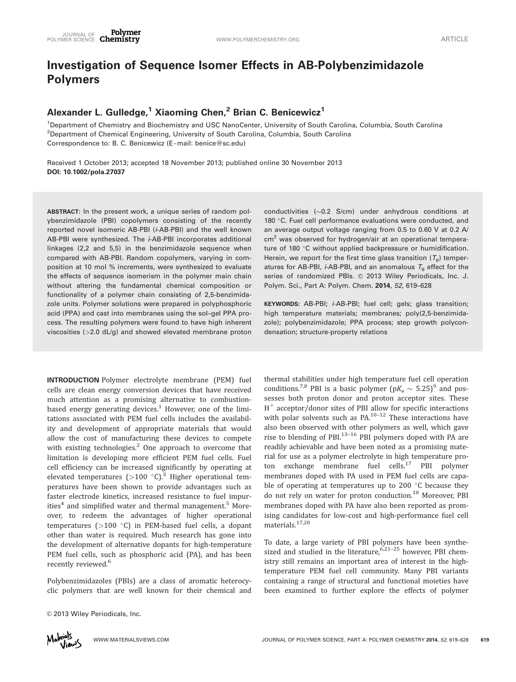# Investigation of Sequence Isomer Effects in AB-Polybenzimidazole Polymers

## Alexander L. Gulledge,<sup>1</sup> Xiaoming Chen,<sup>2</sup> Brian C. Benicewicz<sup>1</sup>

1 Department of Chemistry and Biochemistry and USC NanoCenter, University of South Carolina, Columbia, South Carolina <sup>2</sup>Department of Chemical Engineering, University of South Carolina, Columbia, South Carolina Correspondence to: B. C. Benicewicz (E-mail: benice@sc.edu)

Received 1 October 2013; accepted 18 November 2013; published online 30 November 2013 DOI: 10.1002/pola.27037

ABSTRACT: In the present work, a unique series of random polybenzimidazole (PBI) copolymers consisting of the recently reported novel isomeric AB-PBI (i-AB-PBI) and the well known AB-PBI were synthesized. The *i*-AB-PBI incorporates additional linkages (2,2 and 5,5) in the benzimidazole sequence when compared with AB-PBI. Random copolymers, varying in composition at 10 mol % increments, were synthesized to evaluate the effects of sequence isomerism in the polymer main chain without altering the fundamental chemical composition or functionality of a polymer chain consisting of 2,5-benzimidazole units. Polymer solutions were prepared in polyphosphoric acid (PPA) and cast into membranes using the sol–gel PPA process. The resulting polymers were found to have high inherent viscosities ( $>2.0$  dL/g) and showed elevated membrane proton

INTRODUCTION Polymer electrolyte membrane (PEM) fuel cells are clean energy conversion devices that have received much attention as a promising alternative to combustionbased energy generating devices. $1$  However, one of the limitations associated with PEM fuel cells includes the availability and development of appropriate materials that would allow the cost of manufacturing these devices to compete with existing technologies. $<sup>2</sup>$  One approach to overcome that</sup> limitation is developing more efficient PEM fuel cells. Fuel cell efficiency can be increased significantly by operating at elevated temperatures ( $>100$  °C).<sup>3</sup> Higher operational temperatures have been shown to provide advantages such as faster electrode kinetics, increased resistance to fuel impurities $4$  and simplified water and thermal management.<sup>5</sup> Moreover, to redeem the advantages of higher operational temperatures ( $>100$  °C) in PEM-based fuel cells, a dopant other than water is required. Much research has gone into the development of alternative dopants for high-temperature PEM fuel cells, such as phosphoric acid (PA), and has been recently reviewed.<sup>6</sup>

Polybenzimidazoles (PBIs) are a class of aromatic heterocyclic polymers that are well known for their chemical and

© 2013 Wiley Periodicals, Inc.

conductivities ( $\sim$ 0.2 S/cm) under anhydrous conditions at 180 °C. Fuel cell performance evaluations were conducted, and an average output voltage ranging from 0.5 to 0.60 V at 0.2 A/ cm<sup>2</sup> was observed for hydrogen/air at an operational temperature of 180 °C without applied backpressure or humidification. Herein, we report for the first time glass transition  $(T_{\rm g})$  temperatures for AB-PBI, *i*-AB-PBI, and an anomalous  $T<sub>g</sub>$  effect for the series of randomized PBIs. © 2013 Wiley Periodicals, Inc. J. Polym. Sci., Part A: Polym. Chem. 2014, 52, 619–628

KEYWORDS: AB-PBI; i-AB-PBI; fuel cell; gels; glass transition; high temperature materials; membranes; poly(2,5-benzimidazole); polybenzimidazole; PPA process; step growth polycondensation; structure-property relations

thermal stabilities under high temperature fuel cell operation conditions.<sup>7,8</sup> PBI is a basic polymer ( $pK_a \sim 5.25$ )<sup>9</sup> and possesses both proton donor and proton acceptor sites. These  $H^+$  acceptor/donor sites of PBI allow for specific interactions with polar solvents such as  $PA^{10-12}$  These interactions have also been observed with other polymers as well, which gave rise to blending of PBI. $13-16$  PBI polymers doped with PA are readily achievable and have been noted as a promising material for use as a polymer electrolyte in high temperature proton exchange membrane fuel cells.<sup>17</sup> PBI polymer membranes doped with PA used in PEM fuel cells are capable of operating at temperatures up to 200  $\degree$ C because they do not rely on water for proton conduction.<sup>18</sup> Moreover, PBI membranes doped with PA have also been reported as promising candidates for low-cost and high-performance fuel cell materials.17,20

To date, a large variety of PBI polymers have been synthesized and studied in the literature, $6.21-25$  however, PBI chemistry still remains an important area of interest in the hightemperature PEM fuel cell community. Many PBI variants containing a range of structural and functional moieties have been examined to further explore the effects of polymer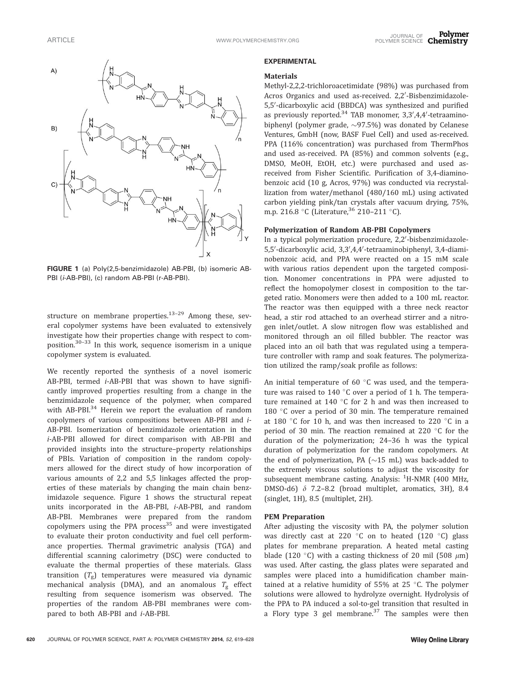

FIGURE 1 (a) Poly(2,5-benzimidazole) AB-PBI, (b) isomeric AB-PBI (i-AB-PBI), (c) random AB-PBI (r-AB-PBI).

structure on membrane properties.<sup>13–29</sup> Among these, several copolymer systems have been evaluated to extensively investigate how their properties change with respect to composition.30–33 In this work, sequence isomerism in a unique copolymer system is evaluated.

We recently reported the synthesis of a novel isomeric AB-PBI, termed i-AB-PBI that was shown to have significantly improved properties resulting from a change in the benzimidazole sequence of the polymer, when compared with AB-PBI.<sup>34</sup> Herein we report the evaluation of random copolymers of various compositions between AB-PBI and i-AB-PBI. Isomerization of benzimidazole orientation in the i-AB-PBI allowed for direct comparison with AB-PBI and provided insights into the structure–property relationships of PBIs. Variation of composition in the random copolymers allowed for the direct study of how incorporation of various amounts of 2,2 and 5,5 linkages affected the properties of these materials by changing the main chain benzimidazole sequence. Figure 1 shows the structural repeat units incorporated in the AB-PBI, i-AB-PBI, and random AB-PBI. Membranes were prepared from the random copolymers using the PPA process $35$  and were investigated to evaluate their proton conductivity and fuel cell performance properties. Thermal gravimetric analysis (TGA) and differential scanning calorimetry (DSC) were conducted to evaluate the thermal properties of these materials. Glass transition  $(T_g)$  temperatures were measured via dynamic mechanical analysis (DMA), and an anomalous  $T_g$  effect resulting from sequence isomerism was observed. The properties of the random AB-PBI membranes were compared to both AB-PBI and i-AB-PBI.

#### EXPERIMENTAL

#### Materials

Methyl-2,2,2-trichloroacetimidate (98%) was purchased from Acros Organics and used as-received. 2,2'-Bisbenzimidazole-5,5'-dicarboxylic acid (BBDCA) was synthesized and purified as previously reported.<sup>34</sup> TAB monomer, 3,3',4,4'-tetraaminobiphenyl (polymer grade,  ${\sim}$ 97.5%) was donated by Celanese Ventures, GmbH (now, BASF Fuel Cell) and used as-received. PPA (116% concentration) was purchased from ThermPhos and used as-received. PA (85%) and common solvents (e.g., DMSO, MeOH, EtOH, etc.) were purchased and used asreceived from Fisher Scientific. Purification of 3,4-diaminobenzoic acid (10 g, Acros, 97%) was conducted via recrystallization from water/methanol (480/160 mL) using activated carbon yielding pink/tan crystals after vacuum drying, 75%, m.p. 216.8 °C (Literature,  $36$  210–211 °C).

## Polymerization of Random AB-PBI Copolymers

In a typical polymerization procedure, 2,2'-bisbenzimidazole-5,5'-dicarboxylic acid, 3,3',4,4'-tetraaminobiphenyl, 3,4-diaminobenzoic acid, and PPA were reacted on a 15 mM scale with various ratios dependent upon the targeted composition. Monomer concentrations in PPA were adjusted to reflect the homopolymer closest in composition to the targeted ratio. Monomers were then added to a 100 mL reactor. The reactor was then equipped with a three neck reactor head, a stir rod attached to an overhead stirrer and a nitrogen inlet/outlet. A slow nitrogen flow was established and monitored through an oil filled bubbler. The reactor was placed into an oil bath that was regulated using a temperature controller with ramp and soak features. The polymerization utilized the ramp/soak profile as follows:

An initial temperature of 60 $\degree$ C was used, and the temperature was raised to 140  $\degree$ C over a period of 1 h. The temperature remained at  $140\degree$ C for 2 h and was then increased to 180  $\degree$ C over a period of 30 min. The temperature remained at 180 $\degree$ C for 10 h, and was then increased to 220 $\degree$ C in a period of 30 min. The reaction remained at 220  $\degree$ C for the duration of the polymerization; 24–36 h was the typical duration of polymerization for the random copolymers. At the end of polymerization, PA ( ${\sim}15$  mL) was back-added to the extremely viscous solutions to adjust the viscosity for subsequent membrane casting. Analysis: <sup>1</sup>H-NMR (400 MHz, DMSO-d6)  $\delta$  7.2–8.2 (broad multiplet, aromatics, 3H), 8.4 (singlet, 1H), 8.5 (multiplet, 2H).

## PEM Preparation

After adjusting the viscosity with PA, the polymer solution was directly cast at 220  $\degree$ C on to heated (120  $\degree$ C) glass plates for membrane preparation. A heated metal casting blade (120 °C) with a casting thickness of 20 mil (508  $\mu$ m) was used. After casting, the glass plates were separated and samples were placed into a humidification chamber maintained at a relative humidity of 55% at 25  $\degree$ C. The polymer solutions were allowed to hydrolyze overnight. Hydrolysis of the PPA to PA induced a sol-to-gel transition that resulted in a Flory type 3 gel membrane. $37$  The samples were then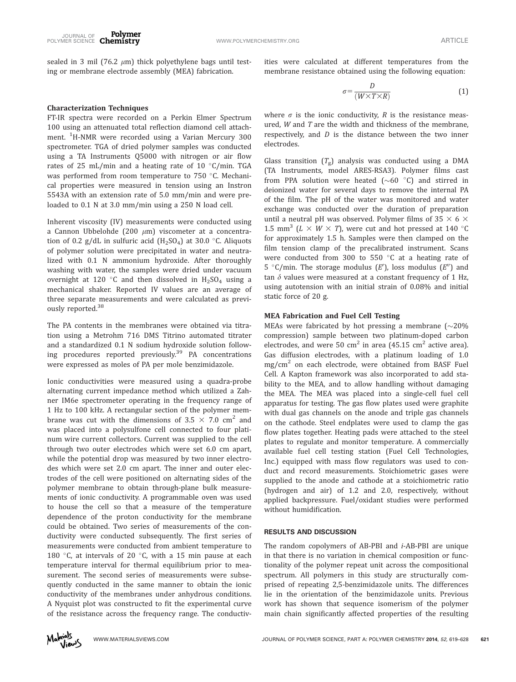sealed in 3 mil (76.2  $\mu$ m) thick polyethylene bags until testing or membrane electrode assembly (MEA) fabrication.

ities were calculated at different temperatures from the membrane resistance obtained using the following equation:

### Characterization Techniques

FT-IR spectra were recorded on a Perkin Elmer Spectrum 100 using an attenuated total reflection diamond cell attachment. <sup>1</sup>H-NMR were recorded using a Varian Mercury 300 spectrometer. TGA of dried polymer samples was conducted using a TA Instruments Q5000 with nitrogen or air flow rates of 25 mL/min and a heating rate of 10  $\degree$ C/min. TGA was performed from room temperature to  $750$  °C. Mechanical properties were measured in tension using an Instron 5543A with an extension rate of 5.0 mm/min and were preloaded to 0.1 N at 3.0 mm/min using a 250 N load cell.

Inherent viscosity (IV) measurements were conducted using a Cannon Ubbelohde (200  $\mu$ m) viscometer at a concentration of 0.2 g/dL in sulfuric acid  $(H_2SO_4)$  at 30.0 °C. Aliquots of polymer solution were precipitated in water and neutralized with 0.1 N ammonium hydroxide. After thoroughly washing with water, the samples were dried under vacuum overnight at 120 °C and then dissolved in  $H_2SO_4$  using a mechanical shaker. Reported IV values are an average of three separate measurements and were calculated as previously reported.<sup>38</sup>

The PA contents in the membranes were obtained via titration using a Metrohm 716 DMS Titrino automated titrater and a standardized 0.1 N sodium hydroxide solution following procedures reported previously.<sup>39</sup> PA concentrations were expressed as moles of PA per mole benzimidazole.

Ionic conductivities were measured using a quadra-probe alternating current impedance method which utilized a Zahner IM6e spectrometer operating in the frequency range of 1 Hz to 100 kHz. A rectangular section of the polymer membrane was cut with the dimensions of  $3.5 \times 7.0$  cm<sup>2</sup> and was placed into a polysulfone cell connected to four platinum wire current collectors. Current was supplied to the cell through two outer electrodes which were set 6.0 cm apart, while the potential drop was measured by two inner electrodes which were set 2.0 cm apart. The inner and outer electrodes of the cell were positioned on alternating sides of the polymer membrane to obtain through-plane bulk measurements of ionic conductivity. A programmable oven was used to house the cell so that a measure of the temperature dependence of the proton conductivity for the membrane could be obtained. Two series of measurements of the conductivity were conducted subsequently. The first series of measurements were conducted from ambient temperature to 180 °C, at intervals of 20 °C, with a 15 min pause at each temperature interval for thermal equilibrium prior to measurement. The second series of measurements were subsequently conducted in the same manner to obtain the ionic conductivity of the membranes under anhydrous conditions. A Nyquist plot was constructed to fit the experimental curve of the resistance across the frequency range. The conductiv-

$$
\sigma = \frac{D}{(W \times T \times R)}\tag{1}
$$

where  $\sigma$  is the ionic conductivity, R is the resistance measured, W and T are the width and thickness of the membrane, respectively, and  $D$  is the distance between the two inner electrodes.

Glass transition  $(T_g)$  analysis was conducted using a DMA (TA Instruments, model ARES-RSA3). Polymer films cast from PPA solution were heated ( $\sim$ 60 °C) and stirred in deionized water for several days to remove the internal PA of the film. The pH of the water was monitored and water exchange was conducted over the duration of preparation until a neutral pH was observed. Polymer films of 35  $\times$  6  $\times$ 1.5 mm<sup>3</sup> ( $L \times W \times T$ ), were cut and hot pressed at 140 °C for approximately 1.5 h. Samples were then clamped on the film tension clamp of the precalibrated instrument. Scans were conducted from 300 to 550  $\degree$ C at a heating rate of 5 °C/min. The storage modulus (E'), loss modulus (E'') and tan  $\delta$  values were measured at a constant frequency of 1 Hz, using autotension with an initial strain of 0.08% and initial static force of 20 g.

## MEA Fabrication and Fuel Cell Testing

MEAs were fabricated by hot pressing a membrane ( $\sim$ 20% compression) sample between two platinum-doped carbon electrodes, and were 50  $\text{cm}^2$  in area (45.15  $\text{cm}^2$  active area). Gas diffusion electrodes, with a platinum loading of 1.0 mg/cm $^2$  on each electrode, were obtained from BASF Fuel Cell. A Kapton framework was also incorporated to add stability to the MEA, and to allow handling without damaging the MEA. The MEA was placed into a single-cell fuel cell apparatus for testing. The gas flow plates used were graphite with dual gas channels on the anode and triple gas channels on the cathode. Steel endplates were used to clamp the gas flow plates together. Heating pads were attached to the steel plates to regulate and monitor temperature. A commercially available fuel cell testing station (Fuel Cell Technologies, Inc.) equipped with mass flow regulators was used to conduct and record measurements. Stoichiometric gases were supplied to the anode and cathode at a stoichiometric ratio (hydrogen and air) of 1.2 and 2.0, respectively, without applied backpressure. Fuel/oxidant studies were performed without humidification.

#### RESULTS AND DISCUSSION

The random copolymers of AB-PBI and i-AB-PBI are unique in that there is no variation in chemical composition or functionality of the polymer repeat unit across the compositional spectrum. All polymers in this study are structurally comprised of repeating 2,5-benzimidazole units. The differences lie in the orientation of the benzimidazole units. Previous work has shown that sequence isomerism of the polymer main chain significantly affected properties of the resulting

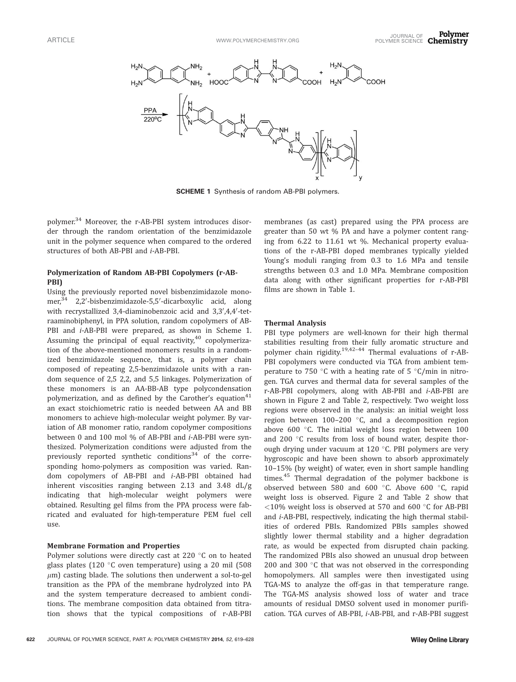

SCHEME 1 Synthesis of random AB-PBI polymers.

polymer.<sup>34</sup> Moreover, the r-AB-PBI system introduces disorder through the random orientation of the benzimidazole unit in the polymer sequence when compared to the ordered structures of both AB-PBI and i-AB-PBI.

## Polymerization of Random AB-PBI Copolymers (r-AB-PBI)

Using the previously reported novel bisbenzimidazole monomer,<sup>34</sup> 2,2'-bisbenzimidazole-5,5'-dicarboxylic acid, along with recrystallized 3,4-diaminobenzoic acid and 3,3',4,4'-tetraaminobiphenyl, in PPA solution, random copolymers of AB-PBI and *i*-AB-PBI were prepared, as shown in Scheme 1. Assuming the principal of equal reactivity, $40$  copolymerization of the above-mentioned monomers results in a randomized benzimidazole sequence, that is, a polymer chain composed of repeating 2,5-benzimidazole units with a random sequence of 2,5 2,2, and 5,5 linkages. Polymerization of these monomers is an AA-BB-AB type polycondensation polymerization, and as defined by the Carother's equation $41$ an exact stoichiometric ratio is needed between AA and BB monomers to achieve high-molecular weight polymer. By variation of AB monomer ratio, random copolymer compositions between 0 and 100 mol % of AB-PBI and i-AB-PBI were synthesized. Polymerization conditions were adjusted from the previously reported synthetic conditions<sup>34</sup> of the corresponding homo-polymers as composition was varied. Random copolymers of AB-PBI and i-AB-PBI obtained had inherent viscosities ranging between 2.13 and 3.48 dL/g indicating that high-molecular weight polymers were obtained. Resulting gel films from the PPA process were fabricated and evaluated for high-temperature PEM fuel cell use.

### Membrane Formation and Properties

Polymer solutions were directly cast at 220 °C on to heated glass plates (120  $\degree$ C oven temperature) using a 20 mil (508  $\mu$ m) casting blade. The solutions then underwent a sol-to-gel transition as the PPA of the membrane hydrolyzed into PA and the system temperature decreased to ambient conditions. The membrane composition data obtained from titration shows that the typical compositions of r-AB-PBI

membranes (as cast) prepared using the PPA process are greater than 50 wt % PA and have a polymer content ranging from 6.22 to 11.61 wt %. Mechanical property evaluations of the r-AB-PBI doped membranes typically yielded Young's moduli ranging from 0.3 to 1.6 MPa and tensile strengths between 0.3 and 1.0 MPa. Membrane composition data along with other significant properties for r-AB-PBI films are shown in Table 1.

## Thermal Analysis

PBI type polymers are well-known for their high thermal stabilities resulting from their fully aromatic structure and polymer chain rigidity.19,42–44 Thermal evaluations of r-AB-PBI copolymers were conducted via TGA from ambient temperature to 750 °C with a heating rate of 5 °C/min in nitrogen. TGA curves and thermal data for several samples of the r-AB-PBI copolymers, along with AB-PBI and i-AB-PBI are shown in Figure 2 and Table 2, respectively. Two weight loss regions were observed in the analysis: an initial weight loss region between  $100-200$  °C, and a decomposition region above 600 $\degree$ C. The initial weight loss region between 100 and 200 °C results from loss of bound water, despite thorough drying under vacuum at  $120$  °C. PBI polymers are very hygroscopic and have been shown to absorb approximately 10–15% (by weight) of water, even in short sample handling times.<sup>45</sup> Thermal degradation of the polymer backbone is observed between 580 and 600  $^{\circ}$ C. Above 600  $^{\circ}$ C, rapid weight loss is observed. Figure 2 and Table 2 show that  $<$ 10% weight loss is observed at 570 and 600 °C for AB-PBI and i-AB-PBI, respectively, indicating the high thermal stabilities of ordered PBIs. Randomized PBIs samples showed slightly lower thermal stability and a higher degradation rate, as would be expected from disrupted chain packing. The randomized PBIs also showed an unusual drop between 200 and 300 $\degree$ C that was not observed in the corresponding homopolymers. All samples were then investigated using TGA-MS to analyze the off-gas in that temperature range. The TGA-MS analysis showed loss of water and trace amounts of residual DMSO solvent used in monomer purification. TGA curves of AB-PBI, i-AB-PBI, and r-AB-PBI suggest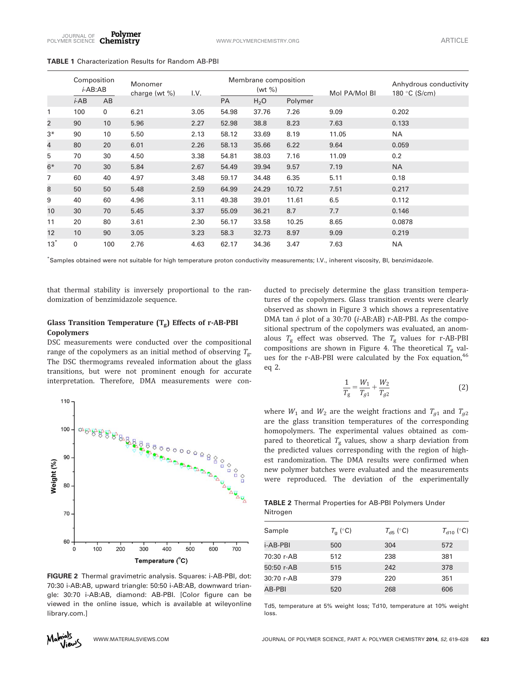Polymer JOURNAL OF FULLER ENTERTY SUPPORT OF THE MANUSCRIPT OF SALE OF THE MANUSCRIPT OF SALE OF ARTICLE FOLYMERCHEMISTRY.ORG

|                | Composition<br>i-AB:AB |     | Monomer<br>charge (wt $\%$ ) | I.V. | Membrane composition<br>(wt %) |                  |         | Mol PA/Mol BI | Anhydrous conductivity<br>180 °C (S/cm) |
|----------------|------------------------|-----|------------------------------|------|--------------------------------|------------------|---------|---------------|-----------------------------------------|
|                | $i$ -AB                | AB  |                              |      | PA                             | H <sub>2</sub> O | Polymer |               |                                         |
| 1              | 100                    | 0   | 6.21                         | 3.05 | 54.98                          | 37.76            | 7.26    | 9.09          | 0.202                                   |
| $\overline{2}$ | 90                     | 10  | 5.96                         | 2.27 | 52.98                          | 38.8             | 8.23    | 7.63          | 0.133                                   |
| $3*$           | 90                     | 10  | 5.50                         | 2.13 | 58.12                          | 33.69            | 8.19    | 11.05         | <b>NA</b>                               |
| 4              | 80                     | 20  | 6.01                         | 2.26 | 58.13                          | 35.66            | 6.22    | 9.64          | 0.059                                   |
| 5              | 70                     | 30  | 4.50                         | 3.38 | 54.81                          | 38.03            | 7.16    | 11.09         | 0.2                                     |
| $6*$           | 70                     | 30  | 5.84                         | 2.67 | 54.49                          | 39.94            | 9.57    | 7.19          | <b>NA</b>                               |
| 7              | 60                     | 40  | 4.97                         | 3.48 | 59.17                          | 34.48            | 6.35    | 5.11          | 0.18                                    |
| 8              | 50                     | 50  | 5.48                         | 2.59 | 64.99                          | 24.29            | 10.72   | 7.51          | 0.217                                   |
| 9              | 40                     | 60  | 4.96                         | 3.11 | 49.38                          | 39.01            | 11.61   | 6.5           | 0.112                                   |
| 10             | 30                     | 70  | 5.45                         | 3.37 | 55.09                          | 36.21            | 8.7     | 7.7           | 0.146                                   |
| 11             | 20                     | 80  | 3.61                         | 2.30 | 56.17                          | 33.58            | 10.25   | 8.65          | 0.0878                                  |
| 12             | 10                     | 90  | 3.05                         | 3.23 | 58.3                           | 32.73            | 8.97    | 9.09          | 0.219                                   |
| $13^*$         | 0                      | 100 | 2.76                         | 4.63 | 62.17                          | 34.36            | 3.47    | 7.63          | <b>NA</b>                               |

#### TABLE 1 Characterization Results for Random AB-PBI

\* Samples obtained were not suitable for high temperature proton conductivity measurements; I.V., inherent viscosity, BI, benzimidazole.

that thermal stability is inversely proportional to the randomization of benzimidazole sequence.

## Glass Transition Temperature  $(T_g)$  Effects of r-AB-PBI Copolymers

DSC measurements were conducted over the compositional range of the copolymers as an initial method of observing  $T_{g}$ . The DSC thermograms revealed information about the glass transitions, but were not prominent enough for accurate interpretation. Therefore, DMA measurements were con-



FIGURE 2 Thermal gravimetric analysis. Squares: i-AB-PBI, dot: 70:30 i-AB:AB, upward triangle: 50:50 i-AB:AB, downward triangle: 30:70 i-AB:AB, diamond: AB-PBI. [Color figure can be viewed in the online issue, which is available at [wileyonline](http://wileyonlinelibrary.com) [library.com](http://wileyonlinelibrary.com).]

ducted to precisely determine the glass transition temperatures of the copolymers. Glass transition events were clearly observed as shown in Figure 3 which shows a representative DMA tan  $\delta$  plot of a 30:70 (*i*-AB:AB) r-AB-PBI. As the compositional spectrum of the copolymers was evaluated, an anomalous  $T_g$  effect was observed. The  $T_g$  values for r-AB-PBI compositions are shown in Figure 4. The theoretical  $T_{\rm g}$  values for the r-AB-PBI were calculated by the Fox equation,<sup>46</sup> eq 2.

$$
\frac{1}{T_g} = \frac{W_1}{T_{g1}} + \frac{W_2}{T_{g2}}\tag{2}
$$

where  $W_1$  and  $W_2$  are the weight fractions and  $T_{g1}$  and  $T_{g2}$ are the glass transition temperatures of the corresponding homopolymers. The experimental values obtained as compared to theoretical  $T_g$  values, show a sharp deviation from the predicted values corresponding with the region of highest randomization. The DMA results were confirmed when new polymer batches were evaluated and the measurements were reproduced. The deviation of the experimentally

TABLE 2 Thermal Properties for AB-PBI Polymers Under Nitrogen

| Sample     | $T_{\rm g}$ (°C) | $T_{\text{d5}}$ (°C) | $T_{\text{d10}}$ (°C) |
|------------|------------------|----------------------|-----------------------|
| i-AB-PBI   | 500              | 304                  | 572                   |
| 70:30 r-AB | 512              | 238                  | 381                   |
| 50:50 r-AB | 515              | 242                  | 378                   |
| 30:70 r-AB | 379              | 220                  | 351                   |
| AB-PBI     | 520              | 268                  | 606                   |

Td5, temperature at 5% weight loss; Td10, temperature at 10% weight loss.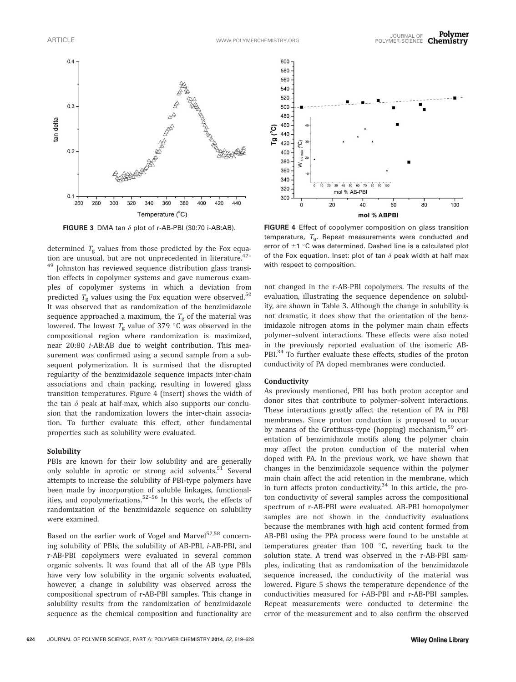

determined  $T_g$  values from those predicted by the Fox equation are unusual, but are not unprecedented in literature.<sup>47-</sup> <sup>49</sup> Johnston has reviewed sequence distribution glass transition effects in copolymer systems and gave numerous examples of copolymer systems in which a deviation from predicted  $T_{\rm g}$  values using the Fox equation were observed.<sup>50</sup> It was observed that as randomization of the benzimidazole sequence approached a maximum, the  $T_g$  of the material was lowered. The lowest  $T_g$  value of 379 °C was observed in the compositional region where randomization is maximized, near 20:80 i-AB:AB due to weight contribution. This measurement was confirmed using a second sample from a subsequent polymerization. It is surmised that the disrupted regularity of the benzimidazole sequence impacts inter-chain associations and chain packing, resulting in lowered glass transition temperatures. Figure 4 (insert) shows the width of the tan  $\delta$  peak at half-max, which also supports our conclusion that the randomization lowers the inter-chain association. To further evaluate this effect, other fundamental properties such as solubility were evaluated.

#### Solubility

PBIs are known for their low solubility and are generally only soluble in aprotic or strong acid solvents.<sup>51</sup> Several attempts to increase the solubility of PBI-type polymers have been made by incorporation of soluble linkages, functionalities, and copolymerizations.52–56 In this work, the effects of randomization of the benzimidazole sequence on solubility were examined.

Based on the earlier work of Vogel and Marvel<sup>57,58</sup> concerning solubility of PBIs, the solubility of AB-PBI, i-AB-PBI, and r-AB-PBI copolymers were evaluated in several common organic solvents. It was found that all of the AB type PBIs have very low solubility in the organic solvents evaluated, however, a change in solubility was observed across the compositional spectrum of r-AB-PBI samples. This change in solubility results from the randomization of benzimidazole sequence as the chemical composition and functionality are



FIGURE 3 DMA tan  $\delta$  plot of r-AB-PBI (30:70 i-AB:AB). FIGURE 4 Effect of copolymer composition on glass transition temperature,  $T_{\text{g}}$ . Repeat measurements were conducted and error of  $\pm 1$  °C was determined. Dashed line is a calculated plot of the Fox equation. Inset: plot of tan  $\delta$  peak width at half max with respect to composition.

not changed in the r-AB-PBI copolymers. The results of the evaluation, illustrating the sequence dependence on solubility, are shown in Table 3. Although the change in solubility is not dramatic, it does show that the orientation of the benzimidazole nitrogen atoms in the polymer main chain effects polymer–solvent interactions. These effects were also noted in the previously reported evaluation of the isomeric AB-PBI.<sup>34</sup> To further evaluate these effects, studies of the proton conductivity of PA doped membranes were conducted.

#### Conductivity

As previously mentioned, PBI has both proton acceptor and donor sites that contribute to polymer–solvent interactions. These interactions greatly affect the retention of PA in PBI membranes. Since proton conduction is proposed to occur by means of the Grotthuss-type (hopping) mechanism,<sup>59</sup> orientation of benzimidazole motifs along the polymer chain may affect the proton conduction of the material when doped with PA. In the previous work, we have shown that changes in the benzimidazole sequence within the polymer main chain affect the acid retention in the membrane, which in turn affects proton conductivity.<sup>34</sup> In this article, the proton conductivity of several samples across the compositional spectrum of r-AB-PBI were evaluated. AB-PBI homopolymer samples are not shown in the conductivity evaluations because the membranes with high acid content formed from AB-PBI using the PPA process were found to be unstable at temperatures greater than  $100\degree C$ , reverting back to the solution state. A trend was observed in the r-AB-PBI samples, indicating that as randomization of the benzimidazole sequence increased, the conductivity of the material was lowered. Figure 5 shows the temperature dependence of the conductivities measured for i-AB-PBI and r-AB-PBI samples. Repeat measurements were conducted to determine the error of the measurement and to also confirm the observed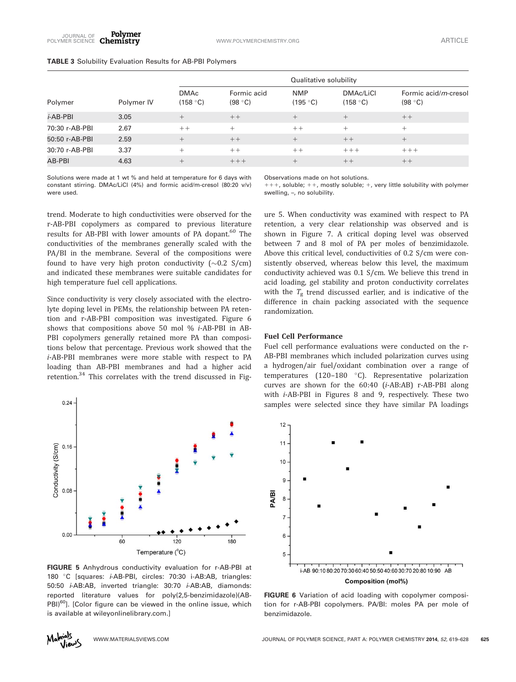### TABLE 3 Solubility Evaluation Results for AB-PBI Polymers

|                  |            | Qualitative solubility  |                        |                        |                       |                                 |  |
|------------------|------------|-------------------------|------------------------|------------------------|-----------------------|---------------------------------|--|
| Polymer          | Polymer IV | <b>DMAc</b><br>(158 °C) | Formic acid<br>(98 °C) | <b>NMP</b><br>(195 °C) | DMAc/LiCl<br>(158 °C) | Formic acid/m-cresol<br>(98 °C) |  |
| <i>i</i> -AB-PBI | 3.05       | $\pm$                   | $++$                   | $^{+}$                 | $^{+}$                | $++$                            |  |
| 70:30 r-AB-PBI   | 2.67       | $++$                    | $^{+}$                 | $++$                   | $^{+}$                | $^{+}$                          |  |
| 50:50 r-AB-PBI   | 2.59       | $^{+}$                  | $++$                   | $+$                    | $++$                  | $^{+}$                          |  |
| 30:70 r-AB-PBI   | 3.37       |                         | $++$                   | $++$                   | $+++$                 | $+++$                           |  |
| AB-PBI           | 4.63       |                         | $+++$                  | $^{+}$                 | $++$                  | $++$                            |  |

Solutions were made at 1 wt % and held at temperature for 6 days with constant stirring. DMAc/LiCl (4%) and formic acid/m-cresol (80:20 v/v) were used.

Observations made on hot solutions.

 $+++$ , soluble;  $++$ , mostly soluble;  $+$ , very little solubility with polymer swelling, –, no solubility.

trend. Moderate to high conductivities were observed for the r-AB-PBI copolymers as compared to previous literature results for AB-PBI with lower amounts of PA dopant.<sup>60</sup> The conductivities of the membranes generally scaled with the PA/BI in the membrane. Several of the compositions were found to have very high proton conductivity ( ${\sim}0.2\,$  S/cm) and indicated these membranes were suitable candidates for high temperature fuel cell applications.

Since conductivity is very closely associated with the electrolyte doping level in PEMs, the relationship between PA retention and r-AB-PBI composition was investigated. Figure 6 shows that compositions above 50 mol % i-AB-PBI in AB-PBI copolymers generally retained more PA than compositions below that percentage. Previous work showed that the i-AB-PBI membranes were more stable with respect to PA loading than AB-PBI membranes and had a higher acid retention.<sup>34</sup> This correlates with the trend discussed in Fig-



FIGURE 5 Anhydrous conductivity evaluation for r-AB-PBI at 180 °C [squares: *i*-AB-PBI, circles: 70:30 i-AB:AB, triangles: 50:50 i-AB:AB, inverted triangle: 30:70 i-AB:AB, diamonds: reported literature values for poly(2,5-benzimidazole)(AB- $PBI)^{60}$ ]. [Color figure can be viewed in the online issue, which is available at [wileyonlinelibrary.com](http://wileyonlinelibrary.com).]

ure 5. When conductivity was examined with respect to PA retention, a very clear relationship was observed and is shown in Figure 7. A critical doping level was observed between 7 and 8 mol of PA per moles of benzimidazole. Above this critical level, conductivities of 0.2 S/cm were consistently observed, whereas below this level, the maximum conductivity achieved was 0.1 S/cm. We believe this trend in acid loading, gel stability and proton conductivity correlates with the  $T_g$  trend discussed earlier, and is indicative of the difference in chain packing associated with the sequence randomization.

## Fuel Cell Performance

Fuel cell performance evaluations were conducted on the r-AB-PBI membranes which included polarization curves using a hydrogen/air fuel/oxidant combination over a range of temperatures  $(120-180 °C)$ . Representative polarization curves are shown for the 60:40 (i-AB:AB) r-AB-PBI along with i-AB-PBI in Figures 8 and 9, respectively. These two samples were selected since they have similar PA loadings



FIGURE 6 Variation of acid loading with copolymer composition for r-AB-PBI copolymers. PA/BI: moles PA per mole of benzimidazole.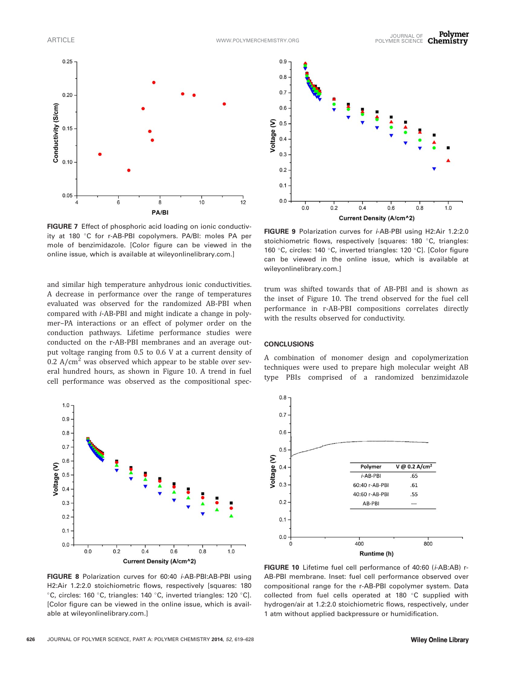

FIGURE 7 Effect of phosphoric acid loading on ionic conductivity at 180 °C for r-AB-PBI copolymers. PA/BI: moles PA per mole of benzimidazole. [Color figure can be viewed in the online issue, which is available at [wileyonlinelibrary.com](http://wileyonlinelibrary.com).]

and similar high temperature anhydrous ionic conductivities. A decrease in performance over the range of temperatures evaluated was observed for the randomized AB-PBI when compared with i-AB-PBI and might indicate a change in polymer–PA interactions or an effect of polymer order on the conduction pathways. Lifetime performance studies were conducted on the r-AB-PBI membranes and an average output voltage ranging from 0.5 to 0.6 V at a current density of 0.2  $A/cm<sup>2</sup>$  was observed which appear to be stable over several hundred hours, as shown in Figure 10. A trend in fuel cell performance was observed as the compositional spec-



FIGURE 8 Polarization curves for 60:40 *i*-AB-PBI:AB-PBI using H2:Air 1.2:2.0 stoichiometric flows, respectively [squares: 180 <sup>o</sup>C, circles: 160 °C, triangles: 140 °C, inverted triangles: 120 °C]. [Color figure can be viewed in the online issue, which is available at [wileyonlinelibrary.com.](http://wileyonlinelibrary.com)]



FIGURE 9 Polarization curves for *i*-AB-PBI using H2:Air 1.2:2.0 stoichiometric flows, respectively [squares: 180 °C, triangles: 160 °C, circles: 140 °C, inverted triangles: 120 °C]. [Color figure can be viewed in the online issue, which is available at [wileyonlinelibrary.com](http://wileyonlinelibrary.com).]

trum was shifted towards that of AB-PBI and is shown as the inset of Figure 10. The trend observed for the fuel cell performance in r-AB-PBI compositions correlates directly with the results observed for conductivity.

#### **CONCLUSIONS**

A combination of monomer design and copolymerization techniques were used to prepare high molecular weight AB type PBIs comprised of a randomized benzimidazole



FIGURE 10 Lifetime fuel cell performance of 40:60 (i-AB:AB) r-AB-PBI membrane. Inset: fuel cell performance observed over compositional range for the r-AB-PBI copolymer system. Data collected from fuel cells operated at 180 °C supplied with hydrogen/air at 1.2:2.0 stoichiometric flows, respectively, under 1 atm without applied backpressure or humidification.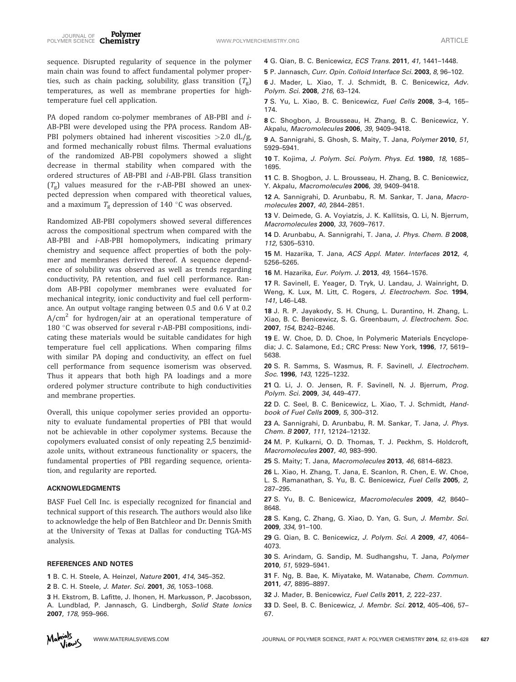sequence. Disrupted regularity of sequence in the polymer main chain was found to affect fundamental polymer properties, such as chain packing, solubility, glass transition  $(T_g)$ temperatures, as well as membrane properties for hightemperature fuel cell application.

PA doped random co-polymer membranes of AB-PBI and *i*-AB-PBI were developed using the PPA process. Random AB-PBI polymers obtained had inherent viscosities  $>2.0$  dL/g, and formed mechanically robust films. Thermal evaluations of the randomized AB-PBI copolymers showed a slight decrease in thermal stability when compared with the ordered structures of AB-PBI and i-AB-PBI. Glass transition  $(T_{g})$  values measured for the r-AB-PBI showed an unexpected depression when compared with theoretical values, and a maximum  $T_g$  depression of 140 °C was observed.

Randomized AB-PBI copolymers showed several differences across the compositional spectrum when compared with the AB-PBI and i-AB-PBI homopolymers, indicating primary chemistry and sequence affect properties of both the polymer and membranes derived thereof. A sequence dependence of solubility was observed as well as trends regarding conductivity, PA retention, and fuel cell performance. Random AB-PBI copolymer membranes were evaluated for mechanical integrity, ionic conductivity and fuel cell performance. An output voltage ranging between 0.5 and 0.6 V at 0.2  $A/cm<sup>2</sup>$  for hydrogen/air at an operational temperature of 180 °C was observed for several r-AB-PBI compositions, indicating these materials would be suitable candidates for high temperature fuel cell applications. When comparing films with similar PA doping and conductivity, an effect on fuel cell performance from sequence isomerism was observed. Thus it appears that both high PA loadings and a more ordered polymer structure contribute to high conductivities and membrane properties.

Overall, this unique copolymer series provided an opportunity to evaluate fundamental properties of PBI that would not be achievable in other copolymer systems. Because the copolymers evaluated consist of only repeating 2,5 benzimidazole units, without extraneous functionality or spacers, the fundamental properties of PBI regarding sequence, orientation, and regularity are reported.

#### ACKNOWLEDGMENTS

BASF Fuel Cell Inc. is especially recognized for financial and technical support of this research. The authors would also like to acknowledge the help of Ben Batchleor and Dr. Dennis Smith at the University of Texas at Dallas for conducting TGA-MS analysis.

#### REFERENCES AND NOTES

1 B. C. H. Steele, A. Heinzel, Nature 2001, 414, 345–352.

2 B. C. H. Steele, J. Mater. Sci. 2001, 36, 1053–1068.

3 H. Ekstrom, B. Lafitte, J. Ihonen, H. Markusson, P. Jacobsson, A. Lundblad, P. Jannasch, G. Lindbergh, Solid State Ionics 2007, 178, 959–966.



5 P. Jannasch, Curr. Opin. Colloid Interface Sci. 2003, 8, 96–102.

6 J. Mader, L. Xiao, T. J. Schmidt, B. C. Benicewicz, Adv. Polym. Sci. 2008, 216, 63–124.

7 S. Yu, L. Xiao, B. C. Benicewicz, Fuel Cells 2008, 3–4, 165– 174.

8 C. Shogbon, J. Brousseau, H. Zhang, B. C. Benicewicz, Y. Akpalu, Macromolecules 2006, 39, 9409–9418.

9 A. Sannigrahi, S. Ghosh, S. Maity, T. Jana, Polymer 2010, 51, 5929–5941.

10 T. Kojima, J. Polym. Sci. Polym. Phys. Ed. 1980, 18, 1685– 1695.

11 C. B. Shogbon, J. L. Brousseau, H. Zhang, B. C. Benicewicz, Y. Akpalu, Macromolecules 2006, 39, 9409–9418.

12 A. Sannigrahi, D. Arunbabu, R. M. Sankar, T. Jana, Macromolecules 2007, 40, 2844–2851.

13 V. Deimede, G. A. Voyiatzis, J. K. Kallitsis, Q. Li, N. Bjerrum, Macromolecules 2000, 33, 7609–7617.

14 D. Arunbabu, A. Sannigrahi, T. Jana, J. Phys. Chem. B 2008, 112, 5305–5310.

15 M. Hazarika, T. Jana, ACS Appl. Mater. Interfaces 2012, 4, 5256–5265.

16 M. Hazarika, Eur. Polym. J. 2013, 49, 1564-1576.

17 R. Savinell, E. Yeager, D. Tryk, U. Landau, J. Wainright, D. Weng, K. Lux, M. Litt, C. Rogers, J. Electrochem. Soc. 1994, 141, L46–L48.

18 J. R. P. Jayakody, S. H. Chung, L. Durantino, H. Zhang, L. Xiao, B. C. Benicewicz, S. G. Greenbaum, J. Electrochem. Soc. 2007, 154, B242–B246.

19 E. W. Choe, D. D. Choe, In Polymeric Materials Encyclopedia; J. C. Salamone, Ed.; CRC Press: New York, 1996, 17, 5619– 5638.

20 S. R. Samms, S. Wasmus, R. F. Savinell, J. Electrochem. Soc. 1996, 143, 1225–1232.

21 Q. Li, J. O. Jensen, R. F. Savinell, N. J. Bjerrum, Prog. Polym. Sci. 2009, 34, 449–477.

22 D. C. Seel, B. C. Benicewicz, L. Xiao, T. J. Schmidt, Handbook of Fuel Cells 2009, 5, 300–312.

23 A. Sannigrahi, D. Arunbabu, R. M. Sankar, T. Jana, J. Phys. Chem. B 2007, 111, 12124–12132.

24 M. P. Kulkarni, O. D. Thomas, T. J. Peckhm, S. Holdcroft, Macromolecules 2007, 40, 983–990.

25 S. Maity; T. Jana, Macromolecules 2013, 46, 6814-6823.

26 L. Xiao, H. Zhang, T. Jana, E. Scanlon, R. Chen, E. W. Choe, L. S. Ramanathan, S. Yu, B. C. Benicewicz, Fuel Cells 2005, 2, 287–295.

27 S. Yu, B. C. Benicewicz, Macromolecules 2009, 42, 8640– 8648.

28 S. Kang, C. Zhang, G. Xiao, D. Yan, G. Sun, J. Membr. Sci. 2009, 334, 91–100.

29 G. Qian, B. C. Benicewicz, J. Polym. Sci. A 2009, 47, 4064-4073.

30 S. Arindam, G. Sandip, M. Sudhangshu, T. Jana, Polymer 2010, 51, 5929–5941.

31 F. Ng, B. Bae, K. Miyatake, M. Watanabe, Chem. Commun. 2011, 47, 8895–8897.

- 32 J. Mader, B. Benicewicz, Fuel Cells 2011, 2, 222–237.
- 33 D. Seel, B. C. Benicewicz, J. Membr. Sci. 2012, 405–406, 57– 67.